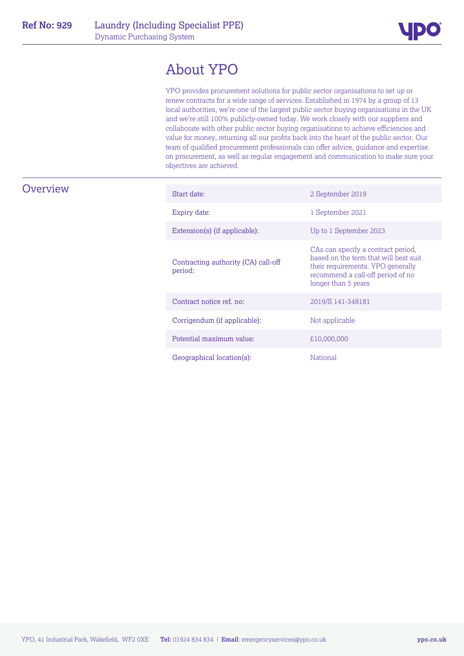

# About YPO

YPO provides procurement solutions for public sector organisations to set up or renew contracts for a wide range of services. Established in 1974 by a group of 13 local authorities, we're one of the largest public sector buying organisations in the UK and we're still 100% publicly-owned today. We work closely with our suppliers and collaborate with other public sector buying organisations to achieve efficiencies and value for money, returning all our profits back into the heart of the public sector. Our team of qualified procurement professionals can offer advice, guidance and expertise on procurement, as well as regular engagement and communication to make sure your objectives are achieved.

### **Overview**

| Start date:                                    | 2 September 2019                                                                                                                                                             |
|------------------------------------------------|------------------------------------------------------------------------------------------------------------------------------------------------------------------------------|
| Expiry date:                                   | 1 September 2021                                                                                                                                                             |
| Extension(s) (if applicable):                  | Up to 1 September 2023                                                                                                                                                       |
| Contracting authority (CA) call-off<br>period: | CAs can specify a contract period,<br>hased on the term that will best suit<br>their requirements. YPO generally<br>recommend a call-off period of no<br>longer than 5 years |
| Contract notice ref. no:                       | 2019/S 141-348181                                                                                                                                                            |
| Corrigendum (if applicable):                   | Not applicable                                                                                                                                                               |
| Potential maximum value:                       | £10,000,000                                                                                                                                                                  |
| Geographical location(s):                      | National                                                                                                                                                                     |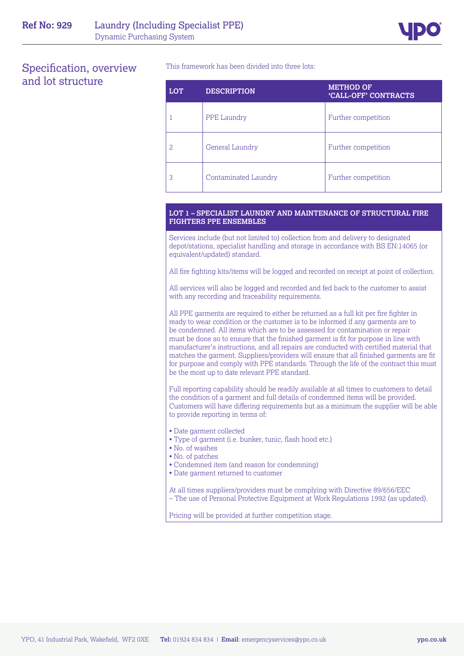# Specification, overview and lot structure

This framework has been divided into three lots:

| <b>LOT</b> | <b>DESCRIPTION</b>          | <b>METHOD OF</b><br><b>'CALL-OFF' CONTRACTS</b> |
|------------|-----------------------------|-------------------------------------------------|
|            | PPE Laundry                 | Further competition                             |
| 2          | <b>General Laundry</b>      | Further competition                             |
| 3          | <b>Contaminated Laundry</b> | Further competition                             |

#### **LOT 1 – SPECIALIST LAUNDRY AND MAINTENANCE OF STRUCTURAL FIRE FIGHTERS PPE ENSEMBLES**

Services include (but not limited to) collection from and delivery to designated depot/stations, specialist handling and storage in accordance with BS EN:14065 (or equivalent/updated) standard.

All fire fighting kits/items will be logged and recorded on receipt at point of collection.

All services will also be logged and recorded and fed back to the customer to assist with any recording and traceability requirements.

All PPE garments are required to either be returned as a full kit per fire fighter in ready to wear condition or the customer is to be informed if any garments are to be condemned. All items which are to be assessed for contamination or repair must be done so to ensure that the finished garment is fit for purpose in line with manufacturer's instructions, and all repairs are conducted with certified material that matches the garment. Suppliers/providers will ensure that all finished garments are fit for purpose and comply with PPE standards. Through the life of the contract this must be the most up to date relevant PPE standard.

Full reporting capability should be readily available at all times to customers to detail the condition of a garment and full details of condemned items will be provided. Customers will have differing requirements but as a minimum the supplier will be able to provide reporting in terms of:

- Date garment collected
- Type of garment (i.e. bunker, tunic, flash hood etc.)
- No. of washes
- No. of patches
- Condemned item (and reason for condemning)
- Date garment returned to customer

At all times suppliers/providers must be complying with Directive 89/656/EEC – The use of Personal Protective Equipment at Work Regulations 1992 (as updated).

Pricing will be provided at further competition stage.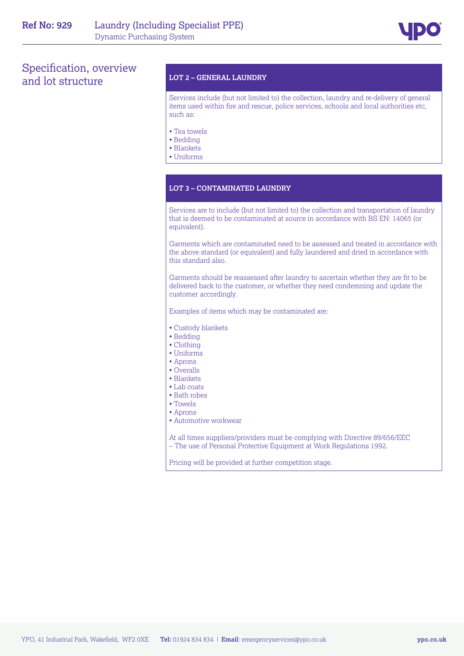# Specification, overview and lot structure

#### **LOT 2 – GENERAL LAUNDRY**

Services include (but not limited to) the collection, laundry and re-delivery of general items used within fire and rescue, police services, schools and local authorities etc, such as:

- Tea towels
- Bedding
- Blankets
- Uniforms

#### **LOT 3 – CONTAMINATED LAUNDRY**

Services are to include (but not limited to) the collection and transportation of laundry that is deemed to be contaminated at source in accordance with BS EN: 14065 (or equivalent).

Garments which are contaminated need to be assessed and treated in accordance with the above standard (or equivalent) and fully laundered and dried in accordance with this standard also.

Garments should be reassessed after laundry to ascertain whether they are fit to be delivered back to the customer, or whether they need condemning and update the customer accordingly.

Examples of items which may be contaminated are:

- Custody blankets
- Bedding
- Clothing
- Uniforms
- Aprons
- Overalls
- Blankets
- Lab coats
- Bath robes
- Towels
- Aprons
- Automotive workwear

At all times suppliers/providers must be complying with Directive 89/656/EEC – The use of Personal Protective Equipment at Work Regulations 1992.

Pricing will be provided at further competition stage.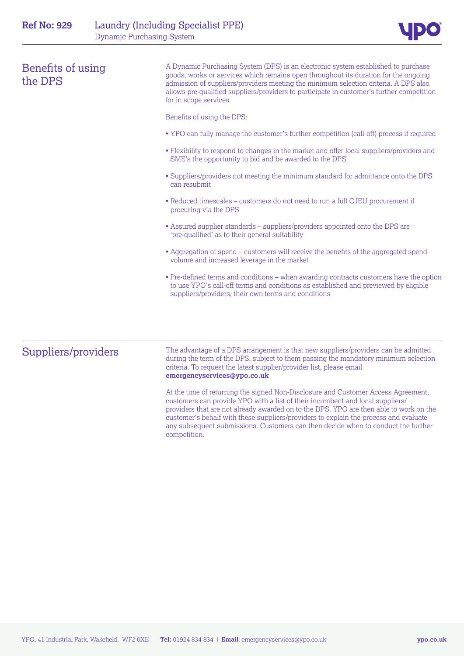| <b>Benefits of using</b><br>the DPS | A Dynamic Purchasing System (DPS) is an electronic system established to purchase<br>goods, works or services which remains open throughout its duration for the ongoing<br>admission of suppliers/providers meeting the minimum selection criteria. A DPS also<br>allows pre-qualified suppliers/providers to participate in customer's further competition<br>for in scope services. |
|-------------------------------------|----------------------------------------------------------------------------------------------------------------------------------------------------------------------------------------------------------------------------------------------------------------------------------------------------------------------------------------------------------------------------------------|
|                                     | Benefits of using the DPS:                                                                                                                                                                                                                                                                                                                                                             |
|                                     | • YPO can fully manage the customer's further competition (call-off) process if required                                                                                                                                                                                                                                                                                               |
|                                     | • Flexibility to respond to changes in the market and offer local suppliers/providers and<br>SME's the opportunity to bid and be awarded to the DPS                                                                                                                                                                                                                                    |
|                                     | . Suppliers/providers not meeting the minimum standard for admittance onto the DPS<br>can resubmit                                                                                                                                                                                                                                                                                     |
|                                     | • Reduced timescales – customers do not need to run a full OJEU procurement if<br>procuring via the DPS                                                                                                                                                                                                                                                                                |
|                                     | • Assured supplier standards – suppliers/providers appointed onto the DPS are<br>'pre-qualified' as to their general suitability                                                                                                                                                                                                                                                       |
|                                     | • Aggregation of spend – customers will receive the benefits of the aggregated spend<br>volume and increased leverage in the market                                                                                                                                                                                                                                                    |
|                                     | • Pre-defined terms and conditions – when awarding contracts customers have the option<br>to use YPO's call-off terms and conditions as established and previewed by eligible<br>suppliers/providers, their own terms and conditions                                                                                                                                                   |
|                                     |                                                                                                                                                                                                                                                                                                                                                                                        |

Suppliers/providers The advantage of a DPS arrangement is that new suppliers/providers can be admitted during the term of the DPS, subject to them passing the mandatory minimum selection criteria. To request the latest supplier/provider list, please email **emergencyservices@ypo.co.uk**

> At the time of returning the signed Non-Disclosure and Customer Access Agreement, customers can provide YPO with a list of their incumbent and local suppliers/ providers that are not already awarded on to the DPS. YPO are then able to work on the customer's behalf with these suppliers/providers to explain the process and evaluate any subsequent submissions. Customers can then decide when to conduct the further competition.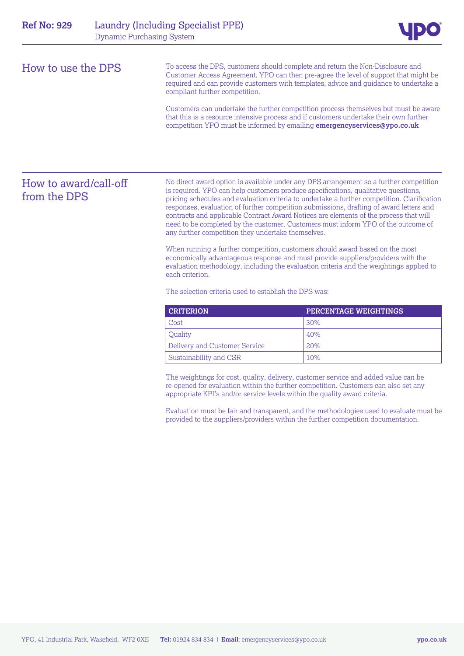| <b>Ref No: 929</b>                                                                                                                                                                                                                                                                                                                      |  | <b>Laundry (Including Specialist PPE)</b><br><b>Dynamic Purchasing System</b> |                                                                                                                                                                                                                                                                                                                                                                                                                                                                                                                                                      |
|-----------------------------------------------------------------------------------------------------------------------------------------------------------------------------------------------------------------------------------------------------------------------------------------------------------------------------------------|--|-------------------------------------------------------------------------------|------------------------------------------------------------------------------------------------------------------------------------------------------------------------------------------------------------------------------------------------------------------------------------------------------------------------------------------------------------------------------------------------------------------------------------------------------------------------------------------------------------------------------------------------------|
| How to use the DPS                                                                                                                                                                                                                                                                                                                      |  | compliant further competition.                                                | To access the DPS, customers should complete and return the Non-Disclosure and<br>Customer Access Agreement. YPO can then pre-agree the level of support that might be<br>required and can provide customers with templates, advice and guidance to undertake a                                                                                                                                                                                                                                                                                      |
|                                                                                                                                                                                                                                                                                                                                         |  |                                                                               | Customers can undertake the further competition process themselves but must be aware<br>that this is a resource intensive process and if customers undertake their own further<br>competition YPO must be informed by emailing emergencyservices@ypo.co.uk                                                                                                                                                                                                                                                                                           |
| How to award/call-off<br>from the DPS                                                                                                                                                                                                                                                                                                   |  | any further competition they undertake themselves.                            | No direct award option is available under any DPS arrangement so a further competition<br>is required. YPO can help customers produce specifications, qualitative questions,<br>pricing schedules and evaluation criteria to undertake a further competition. Clarification<br>responses, evaluation of further competition submissions, drafting of award letters and<br>contracts and applicable Contract Award Notices are elements of the process that will<br>need to be completed by the customer. Customers must inform YPO of the outcome of |
| When running a further competition, customers should award based on the most<br>economically advantageous response and must provide suppliers/providers with the<br>evaluation methodology, including the evaluation criteria and the weightings applied to<br>each criterion.<br>The selection criteria used to establish the DPS was: |  |                                                                               |                                                                                                                                                                                                                                                                                                                                                                                                                                                                                                                                                      |
|                                                                                                                                                                                                                                                                                                                                         |  | <b>CRITERION</b>                                                              | PERCENTAGE WEIGHTINGS                                                                                                                                                                                                                                                                                                                                                                                                                                                                                                                                |
|                                                                                                                                                                                                                                                                                                                                         |  | Cost                                                                          | 30%                                                                                                                                                                                                                                                                                                                                                                                                                                                                                                                                                  |
|                                                                                                                                                                                                                                                                                                                                         |  | Quality                                                                       | 40%                                                                                                                                                                                                                                                                                                                                                                                                                                                                                                                                                  |
|                                                                                                                                                                                                                                                                                                                                         |  | Delivery and Customer Service                                                 | 20%                                                                                                                                                                                                                                                                                                                                                                                                                                                                                                                                                  |
|                                                                                                                                                                                                                                                                                                                                         |  | Sustainability and CSR                                                        | 10%                                                                                                                                                                                                                                                                                                                                                                                                                                                                                                                                                  |

re-opened for evaluation within the further competition. Customers can also set any appropriate KPI's and/or service levels within the quality award criteria.

Evaluation must be fair and transparent, and the methodologies used to evaluate must be provided to the suppliers/providers within the further competition documentation.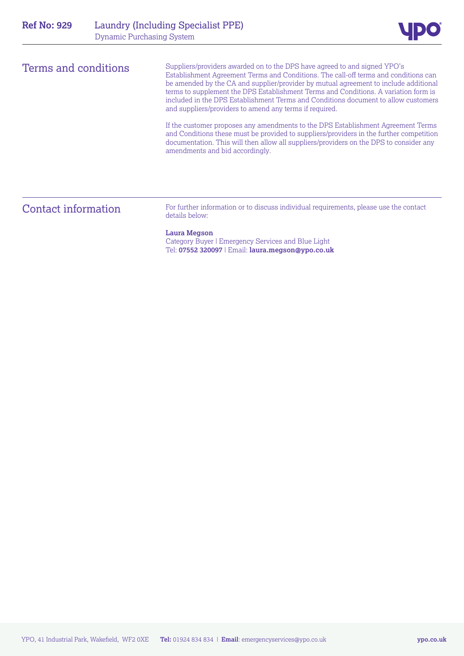| Terms and conditions | Suppliers/providers awarded on to the DPS have agreed to and signed YPO's<br>Establishment Agreement Terms and Conditions. The call-off terms and conditions can<br>be amended by the CA and supplier/provider by mutual agreement to include additional<br>terms to supplement the DPS Establishment Terms and Conditions. A variation form is<br>included in the DPS Establishment Terms and Conditions document to allow customers<br>and suppliers/providers to amend any terms if required.<br>If the customer proposes any amendments to the DPS Establishment Agreement Terms<br>and Conditions these must be provided to suppliers/providers in the further competition<br>documentation. This will then allow all suppliers/providers on the DPS to consider any<br>amendments and bid accordingly. |
|----------------------|--------------------------------------------------------------------------------------------------------------------------------------------------------------------------------------------------------------------------------------------------------------------------------------------------------------------------------------------------------------------------------------------------------------------------------------------------------------------------------------------------------------------------------------------------------------------------------------------------------------------------------------------------------------------------------------------------------------------------------------------------------------------------------------------------------------|
| Contact information  | For further information or to discuss individual requirements, please use the contact<br>details below:                                                                                                                                                                                                                                                                                                                                                                                                                                                                                                                                                                                                                                                                                                      |

#### **Laura Megson**

Category Buyer | Emergency Services and Blue Light Tel: **07552 320097** | Email: **laura.megson@ypo.co.uk**